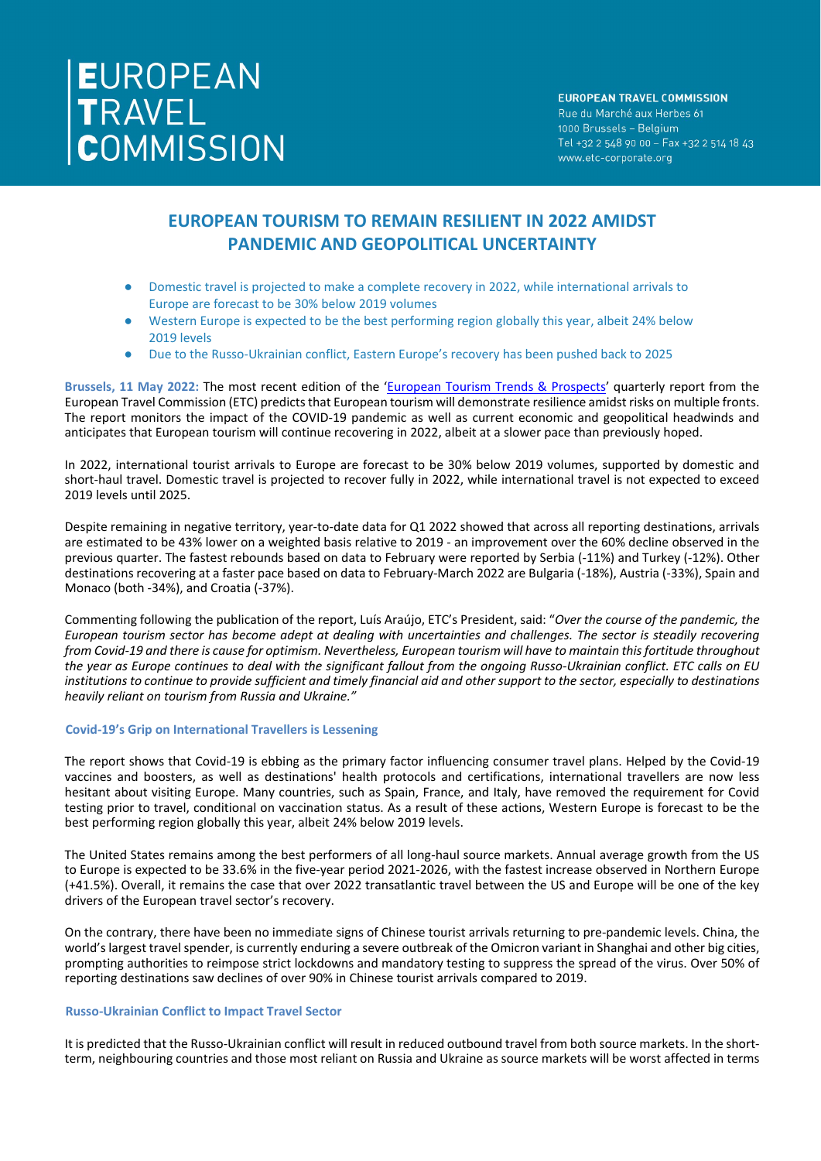## **EUROPEAN TOURISM TO REMAIN RESILIENT IN 2022 AMIDST PANDEMIC AND GEOPOLITICAL UNCERTAINTY**

- Domestic travel is projected to make a complete recovery in 2022, while international arrivals to Europe are forecast to be 30% below 2019 volumes
- Western Europe is expected to be the best performing region globally this year, albeit 24% below 2019 levels
- Due to the Russo-Ukrainian conflict, Eastern Europe's recovery has been pushed back to 2025

**Brussels, 11 May 2022:** The most recent edition of the ['European Tourism Trends & Prospects'](https://etc-corporate.org/reports/european-tourism-2022-trends-prospects-q1-2022/) quarterly report from the European Travel Commission (ETC) predicts that European tourism will demonstrate resilience amidst risks on multiple fronts. The report monitors the impact of the COVID-19 pandemic as well as current economic and geopolitical headwinds and anticipates that European tourism will continue recovering in 2022, albeit at a slower pace than previously hoped.

In 2022, international tourist arrivals to Europe are forecast to be 30% below 2019 volumes, supported by domestic and short-haul travel. Domestic travel is projected to recover fully in 2022, while international travel is not expected to exceed 2019 levels until 2025.

Despite remaining in negative territory, year-to-date data for Q1 2022 showed that across all reporting destinations, arrivals are estimated to be 43% lower on a weighted basis relative to 2019 - an improvement over the 60% decline observed in the previous quarter. The fastest rebounds based on data to February were reported by Serbia (-11%) and Turkey (-12%). Other destinations recovering at a faster pace based on data to February-March 2022 are Bulgaria (-18%), Austria (-33%), Spain and Monaco (both -34%), and Croatia (-37%).

Commenting following the publication of the report, Luís Araújo, ETC's President, said: "*Over the course of the pandemic, the European tourism sector has become adept at dealing with uncertainties and challenges. The sector is steadily recovering from Covid-19 and there is cause for optimism. Nevertheless, European tourism will have to maintain this fortitude throughout the year as Europe continues to deal with the significant fallout from the ongoing Russo-Ukrainian conflict. ETC calls on EU institutions to continue to provide sufficient and timely financial aid and other support to the sector, especially to destinations heavily reliant on tourism from Russia and Ukraine."*

## **Covid-19's Grip on International Travellers is Lessening**

The report shows that Covid-19 is ebbing as the primary factor influencing consumer travel plans. Helped by the Covid-19 vaccines and boosters, as well as destinations' health protocols and certifications, international travellers are now less hesitant about visiting Europe. Many countries, such as Spain, France, and Italy, have removed the requirement for Covid testing prior to travel, conditional on vaccination status. As a result of these actions, Western Europe is forecast to be the best performing region globally this year, albeit 24% below 2019 levels.

The United States remains among the best performers of all long-haul source markets. Annual average growth from the US to Europe is expected to be 33.6% in the five-year period 2021-2026, with the fastest increase observed in Northern Europe (+41.5%). Overall, it remains the case that over 2022 transatlantic travel between the US and Europe will be one of the key drivers of the European travel sector's recovery.

On the contrary, there have been no immediate signs of Chinese tourist arrivals returning to pre-pandemic levels. China, the world's largest travel spender, is currently enduring a severe outbreak of the Omicron variant in Shanghai and other big cities, prompting authorities to reimpose strict lockdowns and mandatory testing to suppress the spread of the virus. Over 50% of reporting destinations saw declines of over 90% in Chinese tourist arrivals compared to 2019.

## **Russo-Ukrainian Conflict to Impact Travel Sector**

It is predicted that the Russo-Ukrainian conflict will result in reduced outbound travel from both source markets. In the shortterm, neighbouring countries and those most reliant on Russia and Ukraine as source markets will be worst affected in terms